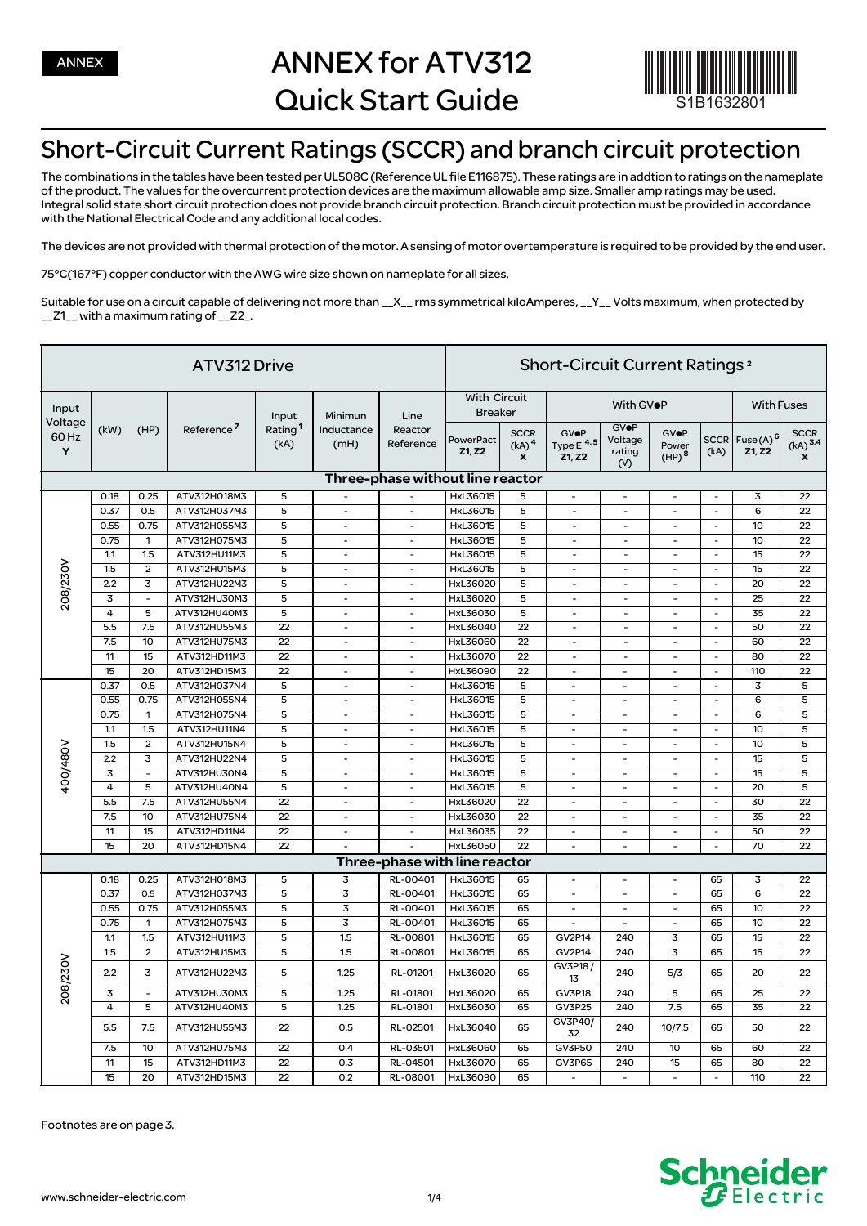

## Short-Circuit Current Ratings (SCCR) and branch circuit protection

The combinations in the tables have been tested per UL508C (Reference UL file E116875). These ratings are in addtion to ratings on the nameplate of the product. The values for the overcurrent protection devices are the maximum allowable amp size. Smaller amp ratings may be used. Integral solid state short circuit protection does not provide branch circuit protection. Branch circuit protection must be provided in accordance with the National Electrical Code and any additional local codes.

The devices are not provided with thermal protection of the motor. A sensing of motor overtemperature is required to be provided by the end user.

75°C(167°F) copper conductor with the AWG wire size shown on nameplate for all sizes.

Suitable for use on a circuit capable of delivering not more than \_\_X\_\_ rms symmetrical kiloAmperes, \_\_Y\_\_ Volts maximum, when protected by \_\_Z1\_\_ with a maximum rating of \_\_Z2\_.

| ATV312 Drive                   |                |                          |                        |                                      |                               |                                  | Short-Circuit Current Ratings <sup>2</sup> |                                                  |                                         |                                         |                                           |                          |                                     |                                           |  |
|--------------------------------|----------------|--------------------------|------------------------|--------------------------------------|-------------------------------|----------------------------------|--------------------------------------------|--------------------------------------------------|-----------------------------------------|-----------------------------------------|-------------------------------------------|--------------------------|-------------------------------------|-------------------------------------------|--|
| Input<br>Voltage<br>60 Hz<br>Y | (kW)           | (HP)                     | Reference <sup>7</sup> | Input<br>Rating <sup>1</sup><br>(kA) | Minimun<br>Inductance<br>(mH) | Line<br>Reactor<br>Reference     | <b>With Circuit</b><br><b>Breaker</b>      |                                                  | With GVOP                               |                                         |                                           |                          |                                     | <b>With Fuses</b>                         |  |
|                                |                |                          |                        |                                      |                               |                                  | PowerPact<br>Z1, Z2                        | <b>SCCR</b><br>(kA) <sup>4</sup><br>$\mathbf{x}$ | <b>GVOP</b><br>Type $E^{4,5}$<br>Z1, Z2 | <b>GVOP</b><br>Voltage<br>rating<br>(V) | <b>GVOP</b><br>Power<br>(HP) <sup>8</sup> | (kA)                     | SCCR Fuse(A) <sup>6</sup><br>Z1, Z2 | <b>SCCR</b><br>$(kA)$ <sup>3,4</sup><br>X |  |
|                                |                |                          |                        |                                      |                               | Three-phase without line reactor |                                            |                                                  |                                         |                                         |                                           |                          |                                     |                                           |  |
|                                | 0.18           | 0.25                     | ATV312H018M3           | 5                                    | $\overline{\phantom{a}}$      | $\overline{\phantom{a}}$         | HxL36015                                   | 5                                                | $\overline{\phantom{a}}$                | $\overline{\phantom{a}}$                | $\overline{\phantom{a}}$                  | $\overline{\phantom{a}}$ | 3                                   | 22                                        |  |
|                                | 0.37           | 0.5                      | ATV312H037M3           | 5                                    | $\overline{\phantom{0}}$      | $\qquad \qquad \blacksquare$     | HxL36015                                   | 5                                                | $\overline{\phantom{a}}$                |                                         | $\overline{\phantom{a}}$                  | $\overline{\phantom{a}}$ | 6                                   | 22                                        |  |
|                                | 0.55           | 0.75                     | ATV312H055M3           | 5                                    | $\overline{\phantom{a}}$      | $\qquad \qquad -$                | HxL36015                                   | 5                                                | $\overline{\phantom{a}}$                | $\overline{\phantom{a}}$                | $\overline{\phantom{m}}$                  | $\overline{\phantom{a}}$ | 10                                  | 22                                        |  |
|                                | 0.75           | $\mathbf{1}$             | ATV312H075M3           | 5                                    | $\overline{\phantom{a}}$      | $\overline{\phantom{a}}$         | HxL36015                                   | $\overline{5}$                                   | $\overline{\phantom{a}}$                | $\overline{\phantom{a}}$                | $\overline{\phantom{a}}$                  | $\overline{\phantom{a}}$ | 10                                  | 22                                        |  |
|                                | 1.1            | 1.5                      | ATV312HU11M3           | 5                                    | $\overline{\phantom{a}}$      | $\overline{\phantom{a}}$         | HxL36015                                   | 5                                                | $\overline{\phantom{a}}$                | $\overline{\phantom{a}}$                | $\overline{\phantom{a}}$                  | $\overline{\phantom{a}}$ | 15                                  | 22                                        |  |
|                                | 1.5            | $\overline{2}$           | ATV312HU15M3           | $\overline{5}$                       | $\overline{\phantom{0}}$      | $\overline{\phantom{a}}$         | HxL36015                                   | 5                                                | $\overline{\phantom{a}}$                | $\overline{\phantom{a}}$                | $\overline{\phantom{a}}$                  | $\overline{\phantom{a}}$ | 15                                  | 22                                        |  |
| 208/230V                       | 2.2            | 3                        | ATV312HU22M3           | 5                                    | $\overline{\phantom{a}}$      | $\overline{a}$                   | HxL36020                                   | 5                                                | $\overline{a}$                          | $\overline{a}$                          | $\overline{a}$                            | $\overline{\phantom{a}}$ | 20                                  | 22                                        |  |
|                                | 3              | $\overline{\phantom{a}}$ | ATV312HU30M3           | 5                                    | $\overline{\phantom{a}}$      | $\overline{a}$                   | HxL36020                                   | $\overline{5}$                                   | $\overline{\phantom{a}}$                | $\overline{a}$                          | $\overline{\phantom{a}}$                  | $\overline{\phantom{a}}$ | 25                                  | 22                                        |  |
|                                | $\overline{4}$ | 5                        | ATV312HU40M3           | 5                                    | $\overline{\phantom{a}}$      | $\overline{\phantom{a}}$         | HxL36030                                   | $\overline{5}$                                   | $\overline{\phantom{a}}$                | $\overline{\phantom{a}}$                | $\overline{\phantom{m}}$                  | $\overline{\phantom{a}}$ | 35                                  | 22                                        |  |
|                                | 5.5            | 7.5                      | ATV312HU55M3           | 22                                   | $\overline{\phantom{a}}$      | $\overline{\phantom{a}}$         | HxL36040                                   | 22                                               | $\overline{\phantom{a}}$                | $\overline{\phantom{a}}$                | $\overline{\phantom{a}}$                  | $\overline{\phantom{a}}$ | 50                                  | 22                                        |  |
|                                | 7.5            | 10                       | ATV312HU75M3           | 22                                   | $\overline{a}$                | $\overline{\phantom{a}}$         | HxL36060                                   | 22                                               | $\overline{\phantom{a}}$                | $\overline{\phantom{a}}$                | $\overline{\phantom{a}}$                  | $\overline{\phantom{a}}$ | 60                                  | 22                                        |  |
|                                | 11             | 15                       | ATV312HD11M3           | 22                                   | $\overline{\phantom{a}}$      | $\overline{\phantom{a}}$         | HxL36070                                   | 22                                               | $\overline{\phantom{a}}$                | $\overline{\phantom{a}}$                | $\overline{\phantom{a}}$                  | $\overline{\phantom{a}}$ | 80                                  | 22                                        |  |
|                                | 15             | 20                       | ATV312HD15M3           | 22                                   | $\overline{\phantom{a}}$      | $\overline{\phantom{a}}$         | HxL36090                                   | 22                                               | $\overline{\phantom{a}}$                | $\overline{\phantom{a}}$                | $\overline{\phantom{a}}$                  | $\overline{\phantom{a}}$ | 110                                 | 22                                        |  |
|                                | 0.37           | 0.5                      | ATV312H037N4           | 5                                    | $\overline{\phantom{a}}$      | $\overline{\phantom{a}}$         | HxL36015                                   | 5                                                | $\overline{\phantom{a}}$                | $\overline{\phantom{a}}$                | $\overline{\phantom{a}}$                  | $\overline{\phantom{a}}$ | 3                                   | 5                                         |  |
|                                | 0.55           | 0.75                     | ATV312H055N4           | 5                                    | $\overline{a}$                | $\overline{\phantom{a}}$         | HxL36015                                   | 5                                                | $\frac{1}{2}$                           | $\overline{a}$                          | $\overline{\phantom{a}}$                  | $\overline{\phantom{a}}$ | 6                                   | 5                                         |  |
|                                | 0.75           | $\mathbf{1}$             | ATV312H075N4           | 5                                    | $\overline{\phantom{a}}$      | $\overline{\phantom{a}}$         | HxL36015                                   | 5                                                | $\overline{\phantom{a}}$                | $\overline{\phantom{a}}$                | $\overline{\phantom{a}}$                  | $\overline{\phantom{a}}$ | 6                                   | 5                                         |  |
|                                | 1.1            | 1.5                      | ATV312HU11N4           | 5                                    | $\overline{\phantom{a}}$      | $\overline{\phantom{a}}$         | HxL36015                                   | 5                                                | $\overline{\phantom{a}}$                | $\overline{\phantom{a}}$                | $\overline{\phantom{a}}$                  | $\overline{\phantom{a}}$ | 10                                  | 5                                         |  |
|                                | 1.5            | $\overline{2}$           | ATV312HU15N4           | 5                                    | $\overline{\phantom{a}}$      | $\overline{\phantom{a}}$         | HxL36015                                   | 5                                                | $\overline{\phantom{a}}$                | $\overline{\phantom{a}}$                | $\overline{\phantom{a}}$                  | $\overline{\phantom{a}}$ | 10                                  | 5                                         |  |
| 400/480V                       | 2.2            | $\overline{3}$           | ATV312HU22N4           | $\overline{5}$                       | $\overline{\phantom{a}}$      | $\overline{\phantom{a}}$         | HxL36015                                   | $\overline{5}$                                   | $\overline{\phantom{a}}$                | $\overline{\phantom{a}}$                | $\overline{\phantom{a}}$                  | $\overline{\phantom{a}}$ | 15                                  | $\overline{5}$                            |  |
|                                | 3              | $\overline{\phantom{a}}$ | ATV312HU30N4           | 5                                    | $\overline{\phantom{a}}$      | $\qquad \qquad \blacksquare$     | HxL36015                                   | 5                                                | $\overline{\phantom{a}}$                | $\qquad \qquad \blacksquare$            | $\overline{\phantom{a}}$                  | $\overline{\phantom{a}}$ | 15                                  | 5                                         |  |
|                                | 4              | 5                        | ATV312HU40N4           | 5                                    | $\overline{\phantom{0}}$      | $\overline{a}$                   | HxL36015                                   | 5                                                | $\overline{a}$                          | $\overline{a}$                          | $\overline{\phantom{a}}$                  | $\overline{\phantom{a}}$ | 20                                  | 5                                         |  |
|                                | 5.5            | 7.5                      | ATV312HU55N4           | 22                                   | $\overline{a}$                | $\overline{a}$                   | HxL36020                                   | 22                                               | $\overline{a}$                          | $\overline{\phantom{a}}$                | $\overline{\phantom{a}}$                  | $\overline{\phantom{m}}$ | 30                                  | 22                                        |  |
|                                | 7.5            | 10                       | ATV312HU75N4           | 22                                   | $\overline{a}$                | $\overline{\phantom{a}}$         | HxL36030                                   | 22                                               | $\overline{\phantom{a}}$                | $\overline{a}$                          | $\overline{\phantom{a}}$                  | $\overline{\phantom{m}}$ | 35                                  | 22                                        |  |
|                                | 11             | 15                       | ATV312HD11N4           | 22                                   | $\overline{\phantom{a}}$      | $\overline{\phantom{a}}$         | HxL36035                                   | 22                                               | $\overline{\phantom{a}}$                | $\overline{a}$                          | $\overline{\phantom{a}}$                  | $\overline{\phantom{a}}$ | 50                                  | 22                                        |  |
|                                | 15             | 20                       | ATV312HD15N4           | 22                                   | $\overline{a}$                | $\overline{a}$                   | HxL36050                                   | $\overline{22}$                                  | $\overline{a}$                          | $\overline{a}$                          | $\overline{a}$                            | $\overline{a}$           | 70                                  | 22                                        |  |
|                                |                |                          |                        |                                      |                               | Three-phase with line reactor    |                                            |                                                  |                                         |                                         |                                           |                          |                                     |                                           |  |
|                                | 0.18           | 0.25                     | ATV312H018M3           | 5                                    | 3                             | RL-00401                         | HxL36015                                   | 65                                               | $\overline{\phantom{a}}$                | $\overline{\phantom{a}}$                | $\overline{\phantom{a}}$                  | 65                       | 3                                   | 22                                        |  |
| 208/230V                       | 0.37           | 0.5                      | ATV312H037M3           | 5                                    | $\overline{\mathbf{3}}$       | RL-00401                         | HxL36015                                   | 65                                               | $\overline{\phantom{a}}$                | $\overline{\phantom{a}}$                | $\overline{\phantom{a}}$                  | 65                       | 6                                   | 22                                        |  |
|                                | 0.55           | 0.75                     | ATV312H055M3           | 5                                    | $\overline{\mathbf{3}}$       | RL-00401                         | HxL36015                                   | 65                                               | $\overline{\phantom{a}}$                | $\overline{\phantom{m}}$                | $\overline{\phantom{a}}$                  | 65                       | 10                                  | 22                                        |  |
|                                | 0.75           | $\mathbf{1}$             | ATV312H075M3           | 5                                    | $\overline{3}$                | RL-00401                         | HxL36015                                   | 65                                               | $\overline{\phantom{a}}$                | $\overline{a}$                          | $\overline{\phantom{a}}$                  | 65                       | 10                                  | 22                                        |  |
|                                | 1.1            | 1.5                      | ATV312HU11M3           | 5                                    | 1.5                           | RL-00801                         | HxL36015                                   | 65                                               | GV2P14                                  | 240                                     | 3                                         | 65                       | 15                                  | 22                                        |  |
|                                | 1.5            | $\overline{\mathbf{c}}$  | ATV312HU15M3           | 5                                    | 1.5                           | RL-00801                         | HxL36015                                   | 65                                               | GV2P14                                  | 240                                     | 3                                         | 65                       | 15                                  | 22                                        |  |
|                                | 2.2            | 3                        | ATV312HU22M3           | 5                                    | 1.25                          | RL-01201                         | HxL36020                                   | 65                                               | GV3P18/<br>13                           | 240                                     | 5/3                                       | 65                       | 20                                  | 22                                        |  |
|                                | 3              | $\overline{\phantom{a}}$ | ATV312HU30M3           | 5                                    | 1.25                          | RL-01801                         | HxL36020                                   | 65                                               | GV3P18                                  | 240                                     | 5                                         | 65                       | 25                                  | 22                                        |  |
|                                | $\overline{4}$ | 5                        | ATV312HU40M3           | 5                                    | 1.25                          | RL-01801                         | HxL36030                                   | 65                                               | <b>GV3P25</b>                           | 240                                     | 7.5                                       | 65                       | 35                                  | 22                                        |  |
|                                | 5.5            | 7.5                      | ATV312HU55M3           | 22                                   | 0.5                           | RL-02501                         | HxL36040                                   | 65                                               | GV3P40/<br>32                           | 240                                     | 10/7.5                                    | 65                       | 50                                  | 22                                        |  |
|                                | 7.5            | 10                       | ATV312HU75M3           | 22                                   | 0.4                           | RL-03501                         | HxL36060                                   | 65                                               | <b>GV3P50</b>                           | 240                                     | 10                                        | 65                       | 60                                  | 22                                        |  |
|                                | 11             | 15                       | ATV312HD11M3           | 22                                   | 0.3                           | RL-04501                         | HxL36070                                   | 65                                               | GV3P65                                  | 240                                     | 15                                        | 65                       | 80                                  | 22                                        |  |
|                                | 15             | 20                       | ATV312HD15M3           | 22                                   | 0.2                           | RL-08001                         | HxL36090                                   | 65                                               | $\overline{\phantom{a}}$                | $\overline{\phantom{a}}$                | $\overline{\phantom{a}}$                  | $\overline{\phantom{a}}$ | 110                                 | 22                                        |  |

Footnotes are on page 3.

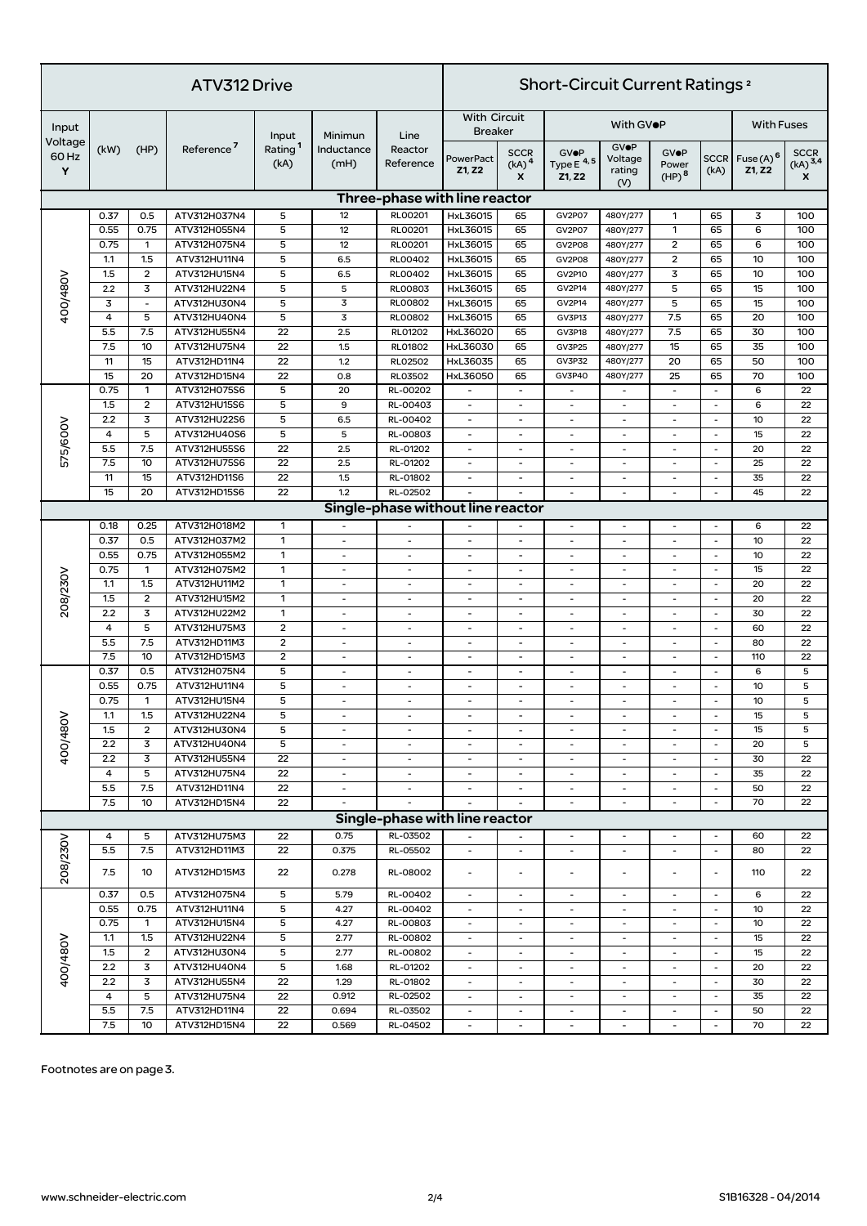| ATV312 Drive                   |             |                          |                              |                                      |                               |                                   | <b>Short-Circuit Current Ratings 2</b> |                                                                 |                                         |                                         |                                           |                                  |                                |                                           |  |
|--------------------------------|-------------|--------------------------|------------------------------|--------------------------------------|-------------------------------|-----------------------------------|----------------------------------------|-----------------------------------------------------------------|-----------------------------------------|-----------------------------------------|-------------------------------------------|----------------------------------|--------------------------------|-------------------------------------------|--|
| Input<br>Voltage<br>60 Hz<br>Y | (kW)        | (HP)                     | Reference <sup>7</sup>       | Input<br>Rating <sup>1</sup><br>(kA) | Minimun<br>Inductance<br>(mH) | Line<br>Reactor<br>Reference      | <b>With Circuit</b><br><b>Breaker</b>  |                                                                 | With GVOP                               |                                         |                                           |                                  | <b>With Fuses</b>              |                                           |  |
|                                |             |                          |                              |                                      |                               |                                   | PowerPact<br>Z1, Z2                    | <b>SCCR</b><br>$(kA)$ <sup>4</sup><br>$\boldsymbol{\mathsf{x}}$ | <b>GVOP</b><br>Type $E$ $4,5$<br>Z1, Z2 | <b>GVOP</b><br>Voltage<br>rating<br>(V) | <b>GVOP</b><br>Power<br>(HP) <sup>8</sup> | <b>SCCR</b><br>(kA)              | Fuse(A) <sup>6</sup><br>Z1, Z2 | <b>SCCR</b><br>$(kA)$ <sup>3,4</sup><br>x |  |
|                                |             |                          |                              |                                      |                               | Three-phase with line reactor     |                                        |                                                                 |                                         |                                         |                                           |                                  |                                |                                           |  |
|                                | 0.37        | 0.5                      | ATV312H037N4                 | 5                                    | 12                            | RL00201                           | HxL36015                               | 65                                                              | <b>GV2P07</b>                           | 480Y/277                                | 1                                         | 65                               | 3                              | 100                                       |  |
| 400/480V                       | 0.55        | 0.75                     | ATV312H055N4                 | 5                                    | 12                            | RL00201                           | HxL36015                               | 65                                                              | <b>GV2P07</b>                           | 480Y/277                                | 1                                         | 65                               | 6                              | 100                                       |  |
|                                | 0.75        | $\mathbf{1}$             | ATV312H075N4                 | 5                                    | 12                            | <b>RLOO201</b>                    | HxL36015                               | 65                                                              | <b>GV2P08</b>                           | 480Y/277                                | $\overline{2}$                            | 65                               | 6                              | 100                                       |  |
|                                | 1.1         | 1.5                      | ATV312HU11N4                 | 5                                    | 6.5                           | RL00402                           | HxL36015                               | 65                                                              | <b>GV2P08</b>                           | 480Y/277                                | $\overline{2}$                            | 65                               | 10                             | 100                                       |  |
|                                | 1.5         | $\overline{2}$           | ATV312HU15N4                 | 5                                    | 6.5                           | RL00402                           | HxL36015                               | 65                                                              | GV2P10                                  | 480Y/277                                | 3                                         | 65                               | 10                             | 100                                       |  |
|                                | 2.2         | $\mathbf 3$              | ATV312HU22N4                 | 5                                    | 5                             | RL00803                           | HxL36015                               | 65                                                              | GV2P14                                  | 480Y/277                                | 5                                         | 65                               | 15                             | 100                                       |  |
|                                | 3           | $\overline{\phantom{a}}$ | ATV312HU30N4                 | 5                                    | 3                             | <b>RLOO802</b>                    | HxL36015                               | 65                                                              | GV2P14                                  | 480Y/277                                | 5                                         | 65                               | 15                             | 100                                       |  |
|                                | 4           | 5                        | ATV312HU40N4                 | 5                                    | 3                             | <b>RLOO802</b>                    | HxL36015                               | 65                                                              | <b>GV3P13</b>                           | 480Y/277                                | 7.5                                       | 65                               | 20                             | 100                                       |  |
|                                | 5.5         | 7.5                      | ATV312HU55N4                 | 22                                   | 2.5                           | RL01202                           | HxL36020                               | 65                                                              | GV3P18                                  | 480Y/277                                | 7.5                                       | 65                               | 30                             | 100                                       |  |
|                                | 7.5         | 10                       | ATV312HU75N4                 | 22                                   | 1.5                           | RL01802                           | HxL36030                               | 65                                                              | <b>GV3P25</b>                           | 480Y/277                                | 15                                        | 65                               | 35                             | 100                                       |  |
|                                | 11          | 15                       | ATV312HD11N4                 | 22                                   | 1.2                           | <b>RL02502</b>                    | HxL36035                               | 65                                                              | <b>GV3P32</b>                           | 480Y/277                                | 20                                        | 65                               | 50                             | 100                                       |  |
|                                | 15          | 20                       | ATV312HD15N4                 | 22                                   | 0.8                           | RL03502                           | HxL36050                               | 65                                                              | <b>GV3P40</b>                           | 480Y/277                                | 25                                        | 65                               | 70                             | 100                                       |  |
|                                | 0.75        | $\mathbf{1}$             | ATV312H075S6                 | 5                                    | 20                            | RL-00202                          |                                        |                                                                 |                                         |                                         | $\blacksquare$                            | $\blacksquare$                   | 6                              | 22                                        |  |
|                                | 1.5         | $\mathbf 2$              | ATV312HU15S6                 | 5                                    | 9                             | RL-00403                          | $\overline{\phantom{a}}$               | $\overline{\phantom{a}}$                                        | $\overline{\phantom{a}}$                | $\overline{\phantom{0}}$                | ٠                                         | $\blacksquare$                   | 6                              | 22                                        |  |
| 575/600V                       | 2.2         | 3                        | ATV312HU22S6                 | 5                                    | 6.5                           | RL-00402                          | $\overline{\phantom{a}}$               | $\overline{\phantom{a}}$                                        | $\blacksquare$                          | ٠                                       | $\sim$                                    | $\sim$                           | 10                             | 22                                        |  |
|                                | 4           | 5                        | ATV312HU40S6                 | 5                                    | 5                             | RL-00803                          | $\overline{\phantom{a}}$               | $\overline{\phantom{a}}$                                        | $\sim$                                  | ÷,                                      | $\overline{\phantom{a}}$                  | $\blacksquare$                   | 15                             | 22                                        |  |
|                                | 5.5         | 7.5                      | ATV312HU55S6                 | 22                                   | 2.5                           | RL-01202                          | $\overline{\phantom{a}}$               | $\overline{\phantom{a}}$                                        | $\overline{\phantom{a}}$                | $\overline{\phantom{0}}$                | $\overline{\phantom{a}}$                  | $\blacksquare$                   | 20                             | 22                                        |  |
|                                | 7.5         | 10                       | ATV312HU75S6                 | 22                                   | 2.5                           | RL-01202                          | $\overline{\phantom{a}}$               | $\overline{\phantom{a}}$                                        | $\blacksquare$                          | ٠                                       | ٠                                         | $\overline{\phantom{a}}$         | 25                             | 22                                        |  |
|                                | 11          | 15                       | ATV312HD11S6                 | 22                                   | 1.5                           | RL-01802                          | $\overline{\phantom{a}}$               | $\overline{\phantom{a}}$                                        | $\sim$                                  | ÷,                                      | $\overline{\phantom{a}}$                  | $\blacksquare$                   | 35                             | 22                                        |  |
|                                | 15          | 20                       | ATV312HD15S6                 | 22                                   | 1.2                           | RL-02502                          | $\overline{\phantom{a}}$               |                                                                 | $\overline{a}$                          | ٠                                       | $\overline{\phantom{m}}$                  | $\blacksquare$                   | 45                             | 22                                        |  |
|                                |             |                          |                              |                                      |                               | Single-phase without line reactor |                                        |                                                                 |                                         |                                         |                                           |                                  |                                |                                           |  |
|                                | 0.18        | 0.25                     | ATV312H018M2                 | 1                                    |                               |                                   |                                        |                                                                 | $\blacksquare$                          | ÷,                                      | $\overline{\phantom{a}}$                  | $\omega$                         | 6                              | 22                                        |  |
|                                | 0.37        | 0.5                      | ATV312H037M2                 | $\mathbf{1}$                         |                               | $\overline{a}$                    | $\overline{\phantom{a}}$               | $\overline{\phantom{a}}$                                        |                                         | ٠                                       | ٠                                         | $\overline{\phantom{a}}$         | 10                             | 22                                        |  |
|                                | 0.55        | 0.75                     | ATV312H055M2                 | $\mathbf{1}$                         | $\blacksquare$                | $\omega$                          | $\overline{\phantom{a}}$               | $\overline{\phantom{a}}$                                        | $\overline{\phantom{a}}$                | $\overline{\phantom{a}}$                | $\overline{\phantom{a}}$                  | $\omega$                         | 10                             | 22                                        |  |
|                                | 0.75        | $\mathbf{1}$             | ATV312H075M2                 | 1                                    | $\sim$                        | $\sim$                            | $\overline{\phantom{a}}$               | $\overline{\phantom{a}}$                                        | $\sim$                                  | ÷,                                      | ä,                                        | $\blacksquare$                   | 15                             | 22                                        |  |
| 208/230V                       | 1.1         | 1.5                      | ATV312HU11M2                 | $\mathbf{1}$                         | $\overline{a}$                | $\overline{a}$                    | $\overline{\phantom{a}}$               | $\overline{\phantom{a}}$                                        | $\overline{\phantom{a}}$                | ٠                                       | ٠                                         | $\blacksquare$                   | 20                             | 22                                        |  |
|                                | 1.5         | $\overline{2}$           | ATV312HU15M2                 | $\mathbf{1}$                         | $\sim$                        | $\sim$                            | $\overline{\phantom{a}}$               | $\overline{\phantom{a}}$                                        | $\sim$                                  | $\blacksquare$                          | $\overline{\phantom{a}}$                  | $\blacksquare$                   | 20                             | 22                                        |  |
|                                | 2.2         | $\mathbf 3$              | ATV312HU22M2                 | 1                                    | $\sim$                        | $\overline{\phantom{a}}$          | $\overline{\phantom{a}}$               | $\overline{a}$                                                  | $\blacksquare$                          | ٠                                       | ٠                                         | $\blacksquare$                   | 30                             | 22                                        |  |
|                                | 4           | 5                        | ATV312HU75M3                 | $\overline{\mathbf{c}}$              | $\overline{\phantom{a}}$      | $\blacksquare$                    | $\overline{\phantom{a}}$               | $\overline{\phantom{a}}$                                        |                                         | ٠                                       | ٠                                         | $\blacksquare$                   | 60                             | 22                                        |  |
|                                | 5.5         | 7.5                      | ATV312HD11M3                 | $\overline{2}$                       | $\sim$                        | $\blacksquare$                    | $\overline{\phantom{a}}$               | $\overline{\phantom{a}}$                                        | $\overline{\phantom{a}}$                | $\blacksquare$                          | $\omega$                                  | $\omega$                         | 80                             | 22<br>22                                  |  |
|                                | 7.5<br>0.37 | 10<br>0.5                | ATV312HD15M3                 | $\overline{2}$<br>5                  | $\sim$                        | $\sim$                            | $\overline{\phantom{a}}$               | $\overline{\phantom{a}}$                                        | $\sim$                                  | ä,                                      | ä,                                        | $\omega$                         | 110                            | 5                                         |  |
| 400/480\                       | 0.55        | 0.75                     | ATV312H075N4<br>ATV312HU11N4 | 5                                    |                               | $\sim$                            | $\overline{\phantom{a}}$               | $\overline{\phantom{a}}$                                        |                                         |                                         | $\overline{\phantom{a}}$                  | $\blacksquare$<br>$\blacksquare$ | 6<br>10                        | 5                                         |  |
|                                | 0.75        | $\mathbf{1}$             |                              | 5                                    | $\blacksquare$<br>$\omega$    | $\sim$                            | $\overline{\phantom{a}}$               | $\overline{\phantom{a}}$                                        | $\overline{\phantom{a}}$<br>$\sim$      | $\overline{\phantom{a}}$<br>÷,          | ٠                                         | $\omega$                         | 10                             | 5                                         |  |
|                                | 1.1         | 1.5                      | ATV312HU15N4<br>ATV312HU22N4 | 5                                    |                               |                                   |                                        |                                                                 |                                         |                                         |                                           |                                  | 15                             | 5                                         |  |
|                                | 1.5         | $\overline{2}$           | ATV312HU30N4                 | 5                                    | $\overline{\phantom{a}}$      | $\overline{\phantom{a}}$          | $\overline{\phantom{a}}$               | $\overline{\phantom{a}}$                                        | $\blacksquare$                          | $\overline{\phantom{a}}$                | $\sim$                                    | $\blacksquare$                   | 15                             | 5                                         |  |
|                                | 2.2         | 3                        | ATV312HU40N4                 | 5                                    | $\overline{\phantom{a}}$      | $\sim$                            |                                        | $\overline{\phantom{a}}$                                        |                                         | ٠                                       | $\sim$                                    | $\sim$                           | 20                             | 5                                         |  |
|                                | 2.2         | 3                        | ATV312HU55N4                 | 22                                   |                               |                                   |                                        | $\overline{\phantom{a}}$                                        |                                         |                                         |                                           | $\blacksquare$                   | 30                             | 22                                        |  |
|                                | 4           | 5                        | ATV312HU75N4                 | 22                                   | $\sim$                        | $\blacksquare$                    | $\overline{\phantom{a}}$               | $\overline{\phantom{a}}$                                        | $\overline{\phantom{a}}$                | $\blacksquare$                          | $\blacksquare$                            | $\omega$                         | 35                             | 22                                        |  |
|                                | 5.5         | 7.5                      | ATV312HD11N4                 | 22                                   | $\overline{\phantom{a}}$      | $\overline{\phantom{a}}$          | $\overline{\phantom{a}}$               | $\overline{\phantom{a}}$                                        |                                         | $\overline{\phantom{a}}$                | $\overline{\phantom{m}}$                  | $\blacksquare$                   | 50                             | 22                                        |  |
|                                | 7.5         | 10                       | ATV312HD15N4                 | 22                                   |                               |                                   |                                        |                                                                 |                                         |                                         |                                           | $\blacksquare$                   | 70                             | 22                                        |  |
|                                |             |                          |                              |                                      |                               | Single-phase with line reactor    |                                        |                                                                 |                                         |                                         |                                           |                                  |                                |                                           |  |
|                                | 4           | 5                        | ATV312HU75M3                 | 22                                   | 0.75                          | RL-03502                          | $\blacksquare$                         |                                                                 | $\overline{\phantom{a}}$                | $\overline{\phantom{a}}$                | $\blacksquare$                            | $\blacksquare$                   | 60                             | 22                                        |  |
| 208/230V                       | 5.5         | 7.5                      | ATV312HD11M3                 | 22                                   | 0.375                         | RL-05502                          | $\blacksquare$                         | $\overline{\phantom{a}}$                                        | $\overline{\phantom{a}}$                | $\overline{\phantom{a}}$                | $\blacksquare$                            | $\omega$                         | 80                             | 22                                        |  |
|                                | 7.5         | 10                       | ATV312HD15M3                 | 22                                   | 0.278                         | RL-08002                          | $\blacksquare$                         | $\overline{a}$                                                  |                                         |                                         |                                           | $\blacksquare$                   | 110                            | 22                                        |  |
| 400/480V                       | 0.37        | 0.5                      | ATV312H075N4                 | 5                                    | 5.79                          | RL-00402                          | $\overline{\phantom{a}}$               | $\overline{\phantom{a}}$                                        | $\overline{\phantom{a}}$                | $\overline{\phantom{a}}$                | $\overline{\phantom{a}}$                  | $\blacksquare$                   | 6                              | 22                                        |  |
|                                | 0.55        | 0.75                     | ATV312HU11N4                 | 5                                    | 4.27                          | RL-00402                          | $\overline{\phantom{a}}$               | $\overline{\phantom{a}}$                                        | $\overline{\phantom{a}}$                | ٠                                       | ٠                                         | $\blacksquare$                   | 10                             | 22                                        |  |
|                                | 0.75        | $\mathbf{1}$             | ATV312HU15N4                 | 5                                    | 4.27                          | RL-00803                          | $\omega$                               | $\omega$                                                        | $\sim$                                  | ÷,                                      | $\sim$                                    | $\sim$                           | 10                             | 22                                        |  |
|                                | 1.1         | 1.5                      | ATV312HU22N4                 | 5                                    | 2.77                          | RL-00802                          | $\blacksquare$                         | $\blacksquare$                                                  | $\overline{\phantom{a}}$                | $\overline{\phantom{a}}$                | $\overline{\phantom{a}}$                  | $\blacksquare$                   | 15                             | 22                                        |  |
|                                | 1.5         | $\mathbf 2$              | ATV312HU30N4                 | 5                                    | 2.77                          | RL-00802                          | $\blacksquare$                         | $\overline{\phantom{a}}$                                        | $\overline{\phantom{a}}$                | ٠                                       | ٠                                         | $\blacksquare$                   | 15                             | 22                                        |  |
|                                | 2.2         | 3                        | ATV312HU40N4                 | 5                                    | 1.68                          | RL-01202                          | $\overline{\phantom{a}}$               | $\omega$                                                        |                                         | ÷,                                      | $\omega$                                  | $\sim$                           | 20                             | 22                                        |  |
|                                | 2.2         | 3                        | ATV312HU55N4                 | 22                                   | 1.29                          | RL-01802                          | $\blacksquare$                         | $\blacksquare$                                                  | $\overline{\phantom{a}}$                | $\overline{\phantom{a}}$                | $\overline{\phantom{a}}$                  | $\sim$                           | 30                             | 22                                        |  |
|                                | 4           | 5                        | ATV312HU75N4                 | 22                                   | 0.912                         | RL-02502                          | $\overline{\phantom{a}}$               | $\overline{\phantom{a}}$                                        | $\blacksquare$                          | ٠                                       | ٠                                         | $\blacksquare$                   | 35                             | 22                                        |  |
|                                | 5.5         | 7.5                      | ATV312HD11N4                 | 22                                   | 0.694                         | RL-03502                          |                                        |                                                                 |                                         |                                         |                                           | $\sim$                           | 50                             | 22                                        |  |
|                                | 7.5         | 10                       | ATV312HD15N4                 | 22                                   | 0.569                         | RL-04502                          | $\overline{\phantom{a}}$               | $\overline{\phantom{a}}$                                        | $\overline{\phantom{a}}$                | $\overline{\phantom{a}}$                | $\overline{\phantom{a}}$                  | $\overline{\phantom{a}}$         | 70                             | 22                                        |  |

Footnotes are on page 3.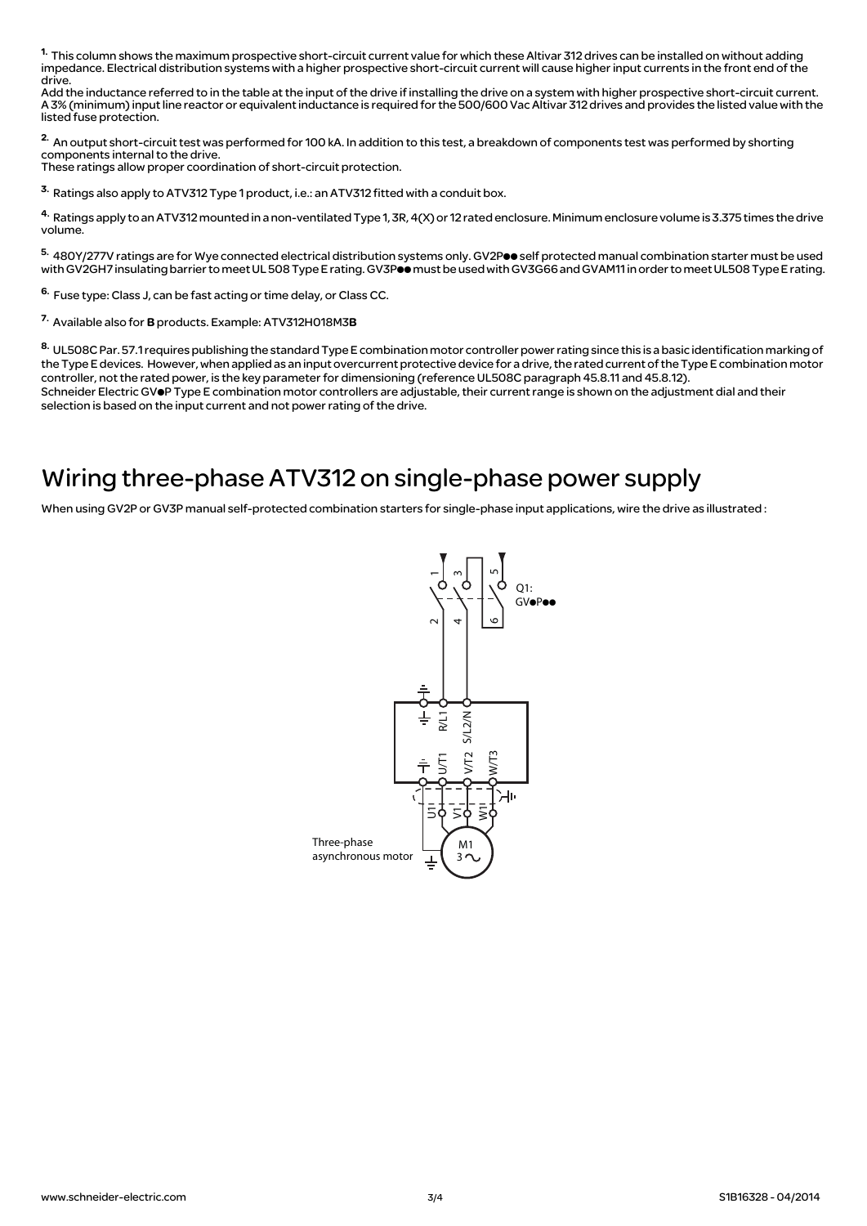1. This column shows the maximum prospective short-circuit current value for which these Altivar 312 drives can be installed on without adding impedance. Electrical distribution systems with a higher prospective short-circuit current will cause higher input currents in the front end of the drive.

Add the inductance referred to in the table at the input of the drive if installing the drive on a system with higher prospective short-circuit current. A 3% (minimum) input line reactor or equivalent inductance is required for the 500/600 Vac Altivar 312 drives and provides the listed value with the listed fuse protection.

2. An output short-circuit test was performed for 100 kA. In addition to this test, a breakdown of components test was performed by shorting components internal to the drive.

These ratings allow proper coordination of short-circuit protection.

3. Ratings also apply to ATV312 Type 1 product, i.e.: an ATV312 fitted with a conduit box.

4. Ratings apply to an ATV312 mounted in a non-ventilated Type 1, 3R, 4(X) or 12 rated enclosure. Minimum enclosure volume is 3.375 times the drive volume.

5. 480Y/277V ratings are for Wye connected electrical distribution systems only. GV2Poo self protected manual combination starter must be used with GV2GH7 insulating barrier to meet UL 508 Type E rating. GV3Poomust be used with GV3G66 and GVAM11 in order to meet UL508 Type E rating.

6. Fuse type: Class J, can be fast acting or time delay, or Class CC.

7. Available also for B products. Example: ATV312H018M3B

8. UL508C Par. 57.1 requires publishing the standard Type E combination motor controller power rating since this is a basic identification marking of the Type E devices. However, when applied as an input overcurrent protective device for a drive, the rated current of the Type E combination motor controller, not the rated power, is the key parameter for dimensioning (reference UL508C paragraph 45.8.11 and 45.8.12). Schneider Electric GVOP Type E combination motor controllers are adjustable, their current range is shown on the adjustment dial and their selection is based on the input current and not power rating of the drive.

## Wiring three-phase ATV312 on single-phase power supply

When using GV2P or GV3P manual self-protected combination starters for single-phase input applications, wire the drive as illustrated :